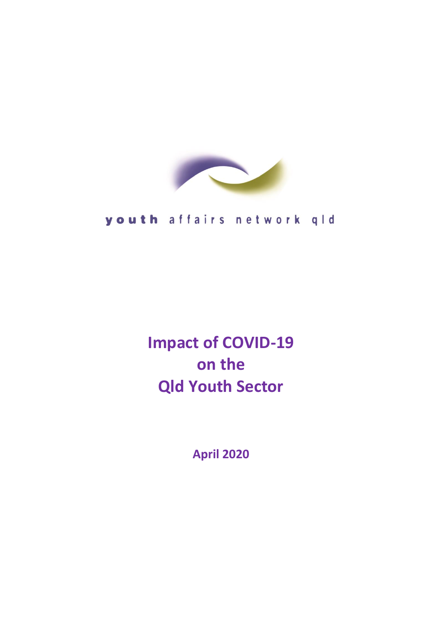

# youth affairs network qld

**Impact of COVID-19 on the Qld Youth Sector** 

**April 2020**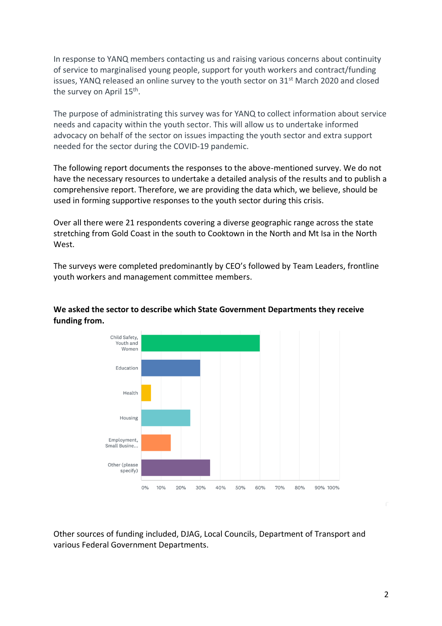In response to YANQ members contacting us and raising various concerns about continuity of service to marginalised young people, support for youth workers and contract/funding issues. YANQ released an online survey to the youth sector on  $31^{st}$  March 2020 and closed the survey on April 15<sup>th</sup>.

The purpose of administrating this survey was for YANQ to collect information about service needs and capacity within the youth sector. This will allow us to undertake informed advocacy on behalf of the sector on issues impacting the youth sector and extra support needed for the sector during the COVID-19 pandemic.

The following report documents the responses to the above-mentioned survey. We do not have the necessary resources to undertake a detailed analysis of the results and to publish a comprehensive report. Therefore, we are providing the data which, we believe, should be used in forming supportive responses to the youth sector during this crisis.

Over all there were 21 respondents covering a diverse geographic range across the state stretching from Gold Coast in the south to Cooktown in the North and Mt Isa in the North West.

The surveys were completed predominantly by CEO's followed by Team Leaders, frontline youth workers and management committee members.



#### **We asked the sector to describe which State Government Departments they receive funding from.**

Other sources of funding included, DJAG, Local Councils, Department of Transport and various Federal Government Departments.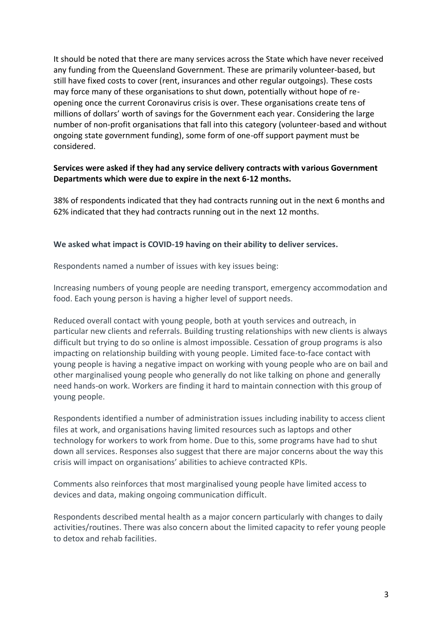It should be noted that there are many services across the State which have never received any funding from the Queensland Government. These are primarily volunteer-based, but still have fixed costs to cover (rent, insurances and other regular outgoings). These costs may force many of these organisations to shut down, potentially without hope of reopening once the current Coronavirus crisis is over. These organisations create tens of millions of dollars' worth of savings for the Government each year. Considering the large number of non-profit organisations that fall into this category (volunteer-based and without ongoing state government funding), some form of one-off support payment must be considered.

### **Services were asked if they had any service delivery contracts with various Government Departments which were due to expire in the next 6-12 months.**

38% of respondents indicated that they had contracts running out in the next 6 months and 62% indicated that they had contracts running out in the next 12 months.

#### **We asked what impact is COVID-19 having on their ability to deliver services.**

Respondents named a number of issues with key issues being:

Increasing numbers of young people are needing transport, emergency accommodation and food. Each young person is having a higher level of support needs.

Reduced overall contact with young people, both at youth services and outreach, in particular new clients and referrals. Building trusting relationships with new clients is always difficult but trying to do so online is almost impossible. Cessation of group programs is also impacting on relationship building with young people. Limited face-to-face contact with young people is having a negative impact on working with young people who are on bail and other marginalised young people who generally do not like talking on phone and generally need hands-on work. Workers are finding it hard to maintain connection with this group of young people.

Respondents identified a number of administration issues including inability to access client files at work, and organisations having limited resources such as laptops and other technology for workers to work from home. Due to this, some programs have had to shut down all services. Responses also suggest that there are major concerns about the way this crisis will impact on organisations' abilities to achieve contracted KPIs.

Comments also reinforces that most marginalised young people have limited access to devices and data, making ongoing communication difficult.

Respondents described mental health as a major concern particularly with changes to daily activities/routines. There was also concern about the limited capacity to refer young people to detox and rehab facilities.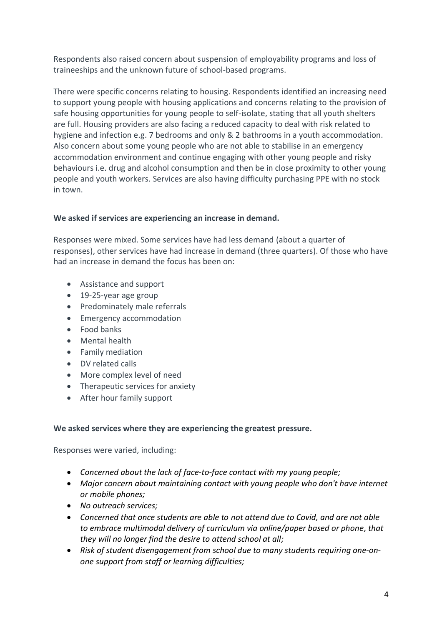Respondents also raised concern about suspension of employability programs and loss of traineeships and the unknown future of school-based programs.

There were specific concerns relating to housing. Respondents identified an increasing need to support young people with housing applications and concerns relating to the provision of safe housing opportunities for young people to self-isolate, stating that all youth shelters are full. Housing providers are also facing a reduced capacity to deal with risk related to hygiene and infection e.g. 7 bedrooms and only & 2 bathrooms in a youth accommodation. Also concern about some young people who are not able to stabilise in an emergency accommodation environment and continue engaging with other young people and risky behaviours i.e. drug and alcohol consumption and then be in close proximity to other young people and youth workers. Services are also having difficulty purchasing PPE with no stock in town.

## **We asked if services are experiencing an increase in demand.**

Responses were mixed. Some services have had less demand (about a quarter of responses), other services have had increase in demand (three quarters). Of those who have had an increase in demand the focus has been on:

- Assistance and support
- 19-25-year age group
- Predominately male referrals
- Emergency accommodation
- Food banks
- Mental health
- Family mediation
- DV related calls
- More complex level of need
- Therapeutic services for anxiety
- After hour family support

## **We asked services where they are experiencing the greatest pressure.**

Responses were varied, including:

- *Concerned about the lack of face-to-face contact with my young people;*
- *Major concern about maintaining contact with young people who don't have internet or mobile phones;*
- *No outreach services;*
- *Concerned that once students are able to not attend due to Covid, and are not able to embrace multimodal delivery of curriculum via online/paper based or phone, that they will no longer find the desire to attend school at all;*
- *Risk of student disengagement from school due to many students requiring one-onone support from staff or learning difficulties;*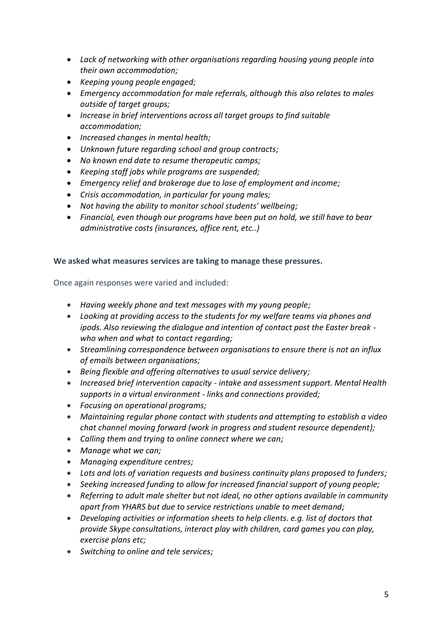- *Lack of networking with other organisations regarding housing young people into their own accommodation;*
- *Keeping young people engaged;*
- *Emergency accommodation for male referrals, although this also relates to males outside of target groups;*
- *Increase in brief interventions across all target groups to find suitable accommodation;*
- *Increased changes in mental health;*
- *Unknown future regarding school and group contracts;*
- *No known end date to resume therapeutic camps;*
- *Keeping staff jobs while programs are suspended;*
- *Emergency relief and brokerage due to lose of employment and income;*
- *Crisis accommodation, in particular for young males;*
- *Not having the ability to monitor school students' wellbeing;*
- *Financial, even though our programs have been put on hold, we still have to bear administrative costs (insurances, office rent, etc..)*

#### **We asked what measures services are taking to manage these pressures.**

Once again responses were varied and included:

- *Having weekly phone and text messages with my young people;*
- *Looking at providing access to the students for my welfare teams via phones and ipods. Also reviewing the dialogue and intention of contact post the Easter break who when and what to contact regarding;*
- *Streamlining correspondence between organisations to ensure there is not an influx of emails between organisations;*
- *Being flexible and offering alternatives to usual service delivery;*
- *Increased brief intervention capacity - intake and assessment support. Mental Health supports in a virtual environment - links and connections provided;*
- *Focusing on operational programs;*
- *Maintaining regular phone contact with students and attempting to establish a video chat channel moving forward (work in progress and student resource dependent);*
- *Calling them and trying to online connect where we can;*
- *Manage what we can;*
- *Managing expenditure centres;*
- *Lots and lots of variation requests and business continuity plans proposed to funders;*
- *Seeking increased funding to allow for increased financial support of young people;*
- *Referring to adult male shelter but not ideal, no other options available in community apart from YHARS but due to service restrictions unable to meet demand;*
- *Developing activities or information sheets to help clients. e.g. list of doctors that provide Skype consultations, interact play with children, card games you can play, exercise plans etc;*
- *Switching to online and tele services;*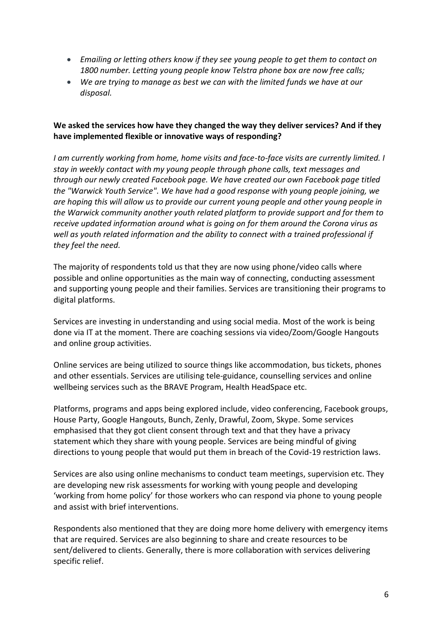- *Emailing or letting others know if they see young people to get them to contact on 1800 number. Letting young people know Telstra phone box are now free calls;*
- *We are trying to manage as best we can with the limited funds we have at our disposal.*

## **We asked the services how have they changed the way they deliver services? And if they have implemented flexible or innovative ways of responding?**

*I am currently working from home, home visits and face-to-face visits are currently limited. I stay in weekly contact with my young people through phone calls, text messages and through our newly created Facebook page. We have created our own Facebook page titled the "Warwick Youth Service". We have had a good response with young people joining, we are hoping this will allow us to provide our current young people and other young people in the Warwick community another youth related platform to provide support and for them to receive updated information around what is going on for them around the Corona virus as well as youth related information and the ability to connect with a trained professional if they feel the need.*

The majority of respondents told us that they are now using phone/video calls where possible and online opportunities as the main way of connecting, conducting assessment and supporting young people and their families. Services are transitioning their programs to digital platforms.

Services are investing in understanding and using social media. Most of the work is being done via IT at the moment. There are coaching sessions via video/Zoom/Google Hangouts and online group activities.

Online services are being utilized to source things like accommodation, bus tickets, phones and other essentials. Services are utilising tele-guidance, counselling services and online wellbeing services such as the BRAVE Program, Health HeadSpace etc.

Platforms, programs and apps being explored include, video conferencing, Facebook groups, House Party, Google Hangouts, Bunch, Zenly, Drawful, Zoom, Skype. Some services emphasised that they got client consent through text and that they have a privacy statement which they share with young people. Services are being mindful of giving directions to young people that would put them in breach of the Covid-19 restriction laws.

Services are also using online mechanisms to conduct team meetings, supervision etc. They are developing new risk assessments for working with young people and developing 'working from home policy' for those workers who can respond via phone to young people and assist with brief interventions.

Respondents also mentioned that they are doing more home delivery with emergency items that are required. Services are also beginning to share and create resources to be sent/delivered to clients. Generally, there is more collaboration with services delivering specific relief.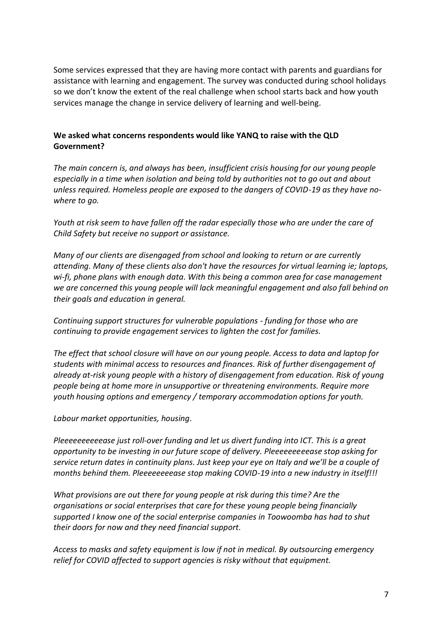Some services expressed that they are having more contact with parents and guardians for assistance with learning and engagement. The survey was conducted during school holidays so we don't know the extent of the real challenge when school starts back and how youth services manage the change in service delivery of learning and well-being.

#### **We asked what concerns respondents would like YANQ to raise with the QLD Government?**

*The main concern is, and always has been, insufficient crisis housing for our young people especially in a time when isolation and being told by authorities not to go out and about unless required. Homeless people are exposed to the dangers of COVID-19 as they have nowhere to go.*

*Youth at risk seem to have fallen off the radar especially those who are under the care of Child Safety but receive no support or assistance.*

*Many of our clients are disengaged from school and looking to return or are currently attending. Many of these clients also don't have the resources for virtual learning ie; laptops, wi-fi, phone plans with enough data. With this being a common area for case management we are concerned this young people will lack meaningful engagement and also fall behind on their goals and education in general.*

*Continuing support structures for vulnerable populations - funding for those who are continuing to provide engagement services to lighten the cost for families.*

*The effect that school closure will have on our young people. Access to data and laptop for students with minimal access to resources and finances. Risk of further disengagement of already at-risk young people with a history of disengagement from education. Risk of young people being at home more in unsupportive or threatening environments. Require more youth housing options and emergency / temporary accommodation options for youth.*

*Labour market opportunities, housing.*

*Pleeeeeeeeeease just roll-over funding and let us divert funding into ICT. This is a great opportunity to be investing in our future scope of delivery. Pleeeeeeeeease stop asking for service return dates in continuity plans. Just keep your eye on Italy and we'll be a couple of months behind them. Pleeeeeeeease stop making COVID-19 into a new industry in itself!!!*

*What provisions are out there for young people at risk during this time? Are the organisations or social enterprises that care for these young people being financially supported I know one of the social enterprise companies in Toowoomba has had to shut their doors for now and they need financial support.*

*Access to masks and safety equipment is low if not in medical. By outsourcing emergency relief for COVID affected to support agencies is risky without that equipment.*